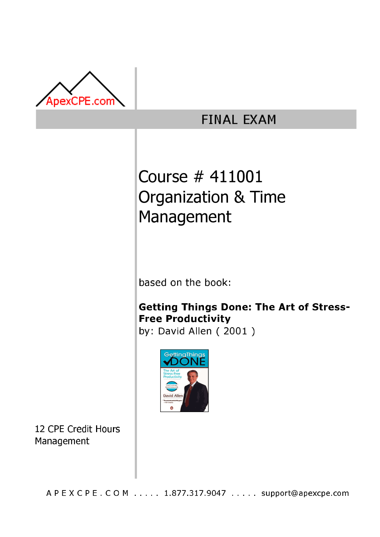

## **FINAL EXAM**

# Course # 411001 Organization & Time Management

based on the book:

### Getting Things Done: The Art of Stress-**Free Productivity**

by: David Allen  $(2001)$ 



12 CPE Credit Hours Management

A P E X C P E . C O M . . . . . 1.877.317.9047 . . . . . support@apexcpe.com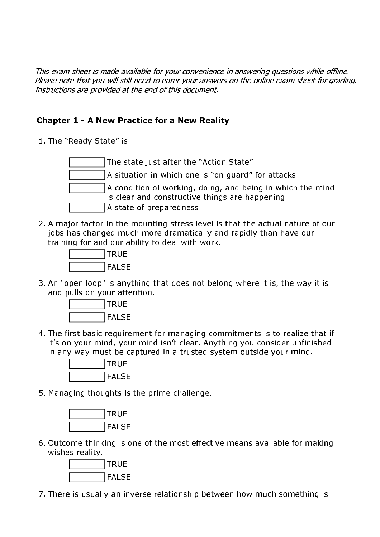This exam sheet is made available for your convenience in answering questions while offline. Please note that you will still need to enter your answers on the online exam sheet for grading. Instructions are provided at the end of this document.

#### **Chapter 1 - A New Practice for a New Reality**

1. The "Ready State" is:

The state just after the "Action State" A situation in which one is "on quard" for attacks A condition of working, doing, and being in which the mind is clear and constructive things are happening A state of preparedness

2. A major factor in the mounting stress level is that the actual nature of our jobs has changed much more dramatically and rapidly than have our training for and our ability to deal with work.



3. An "open loop" is anything that does not belong where it is, the way it is and pulls on your attention.



4. The first basic requirement for managing commitments is to realize that if it's on your mind, your mind isn't clear. Anything you consider unfinished in any way must be captured in a trusted system outside your mind.



5. Managing thoughts is the prime challenge.



6. Outcome thinking is one of the most effective means available for making wishes reality.



7. There is usually an inverse relationship between how much something is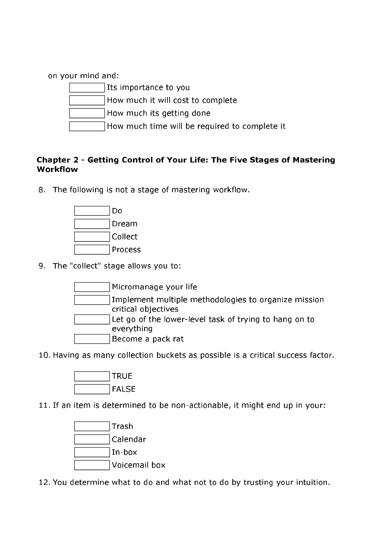on your mind and:





How much its getting done

How much time will be required to complete it

#### Chapter 2 - Getting Control of Your Life: The Five Stages of Mastering Workflow

8. The following is not a stage of mastering workflow.



9. The "collect" stage allows you to:



10. Having as many collection buckets as possible is a critical success factor.



11. If an item is determined to be non-actionable, it might end up in your:



12. You determine what to do and what not to do by trusting your intuition.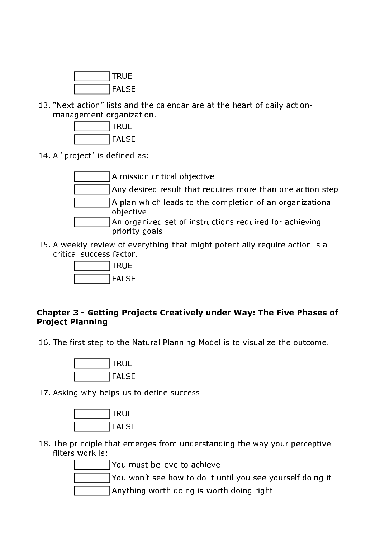

13. "Next action" lists and the calendar are at the heart of daily actionmanagement organization.



14. A "project" is defined as:



15. A weekly review of everything that might potentially require action is a critical success factor.



#### Chapter 3 - Getting Projects Creatively under Way: The Five Phases of **Project Planning**

16. The first step to the Natural Planning Model is to visualize the outcome.



17. Asking why helps us to define success.



18. The principle that emerges from understanding the way your perceptive filters work is:

You must believe to achieve

You won't see how to do it until you see yourself doing it

Anything worth doing is worth doing right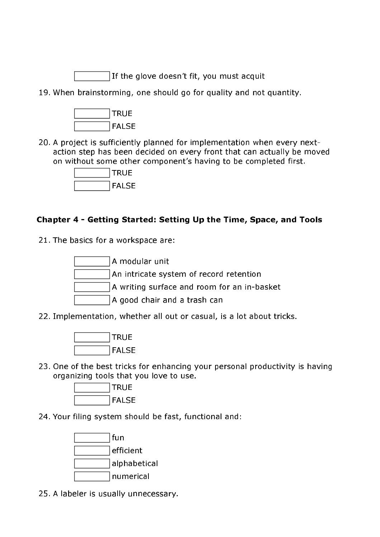If the glove doesn't fit, you must acquit

19. When brainstorming, one should go for quality and not quantity.



20. A project is sufficiently planned for implementation when every nextaction step has been decided on every front that can actually be moved on without some other component's having to be completed first.



#### Chapter 4 - Getting Started: Setting Up the Time, Space, and Tools

21. The basics for a workspace are:



22. Implementation, whether all out or casual, is a lot about tricks.



23. One of the best tricks for enhancing your personal productivity is having organizing tools that you love to use.



24. Your filing system should be fast, functional and:



25. A labeler is usually unnecessary.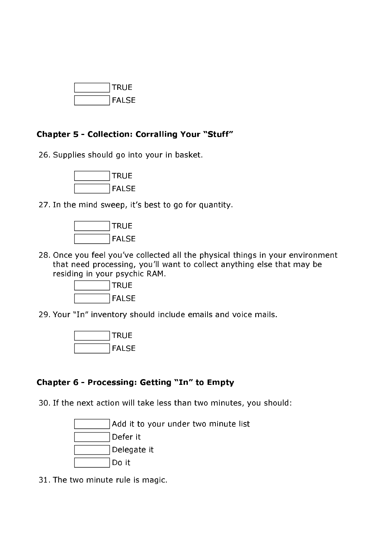

#### **Chapter 5 - Collection: Corralling Your "Stuff"**

26. Supplies should go into your in basket.



27. In the mind sweep, it's best to go for quantity.



28. Once you feel you've collected all the physical things in your environment that need processing, you'll want to collect anything else that may be residing in your psychic RAM.



29. Your "In" inventory should include emails and voice mails.



#### Chapter 6 - Processing: Getting "In" to Empty

30. If the next action will take less than two minutes, you should:

Add it to your under two minute list Defer it Delegate it Do it

31. The two minute rule is magic.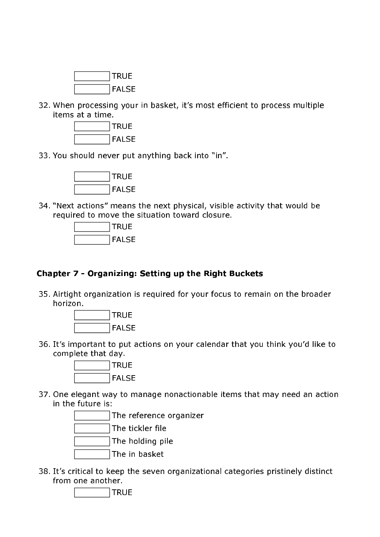

32. When processing your in basket, it's most efficient to process multiple items at a time.



33. You should never put anything back into "in".



34. "Next actions" means the next physical, visible activity that would be required to move the situation toward closure.



#### Chapter 7 - Organizing: Setting up the Right Buckets

35. Airtight organization is required for your focus to remain on the broader horizon.



36. It's important to put actions on your calendar that you think you'd like to complete that day.



37. One elegant way to manage nonactionable items that may need an action in the future is:



38. It's critical to keep the seven organizational categories pristinely distinct from one another.

**TRUE**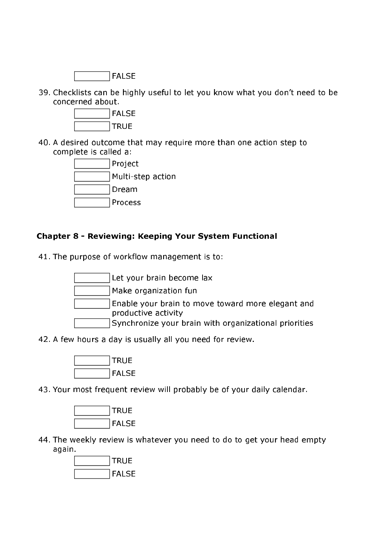

39. Checklists can be highly useful to let you know what you don't need to be concerned about.



40. A desired outcome that may require more than one action step to complete is called a:



#### **Chapter 8 - Reviewing: Keeping Your System Functional**

41. The purpose of workflow management is to:



42. A few hours a day is usually all you need for review.



43. Your most frequent review will probably be of your daily calendar.



44. The weekly review is whatever you need to do to get your head empty again.

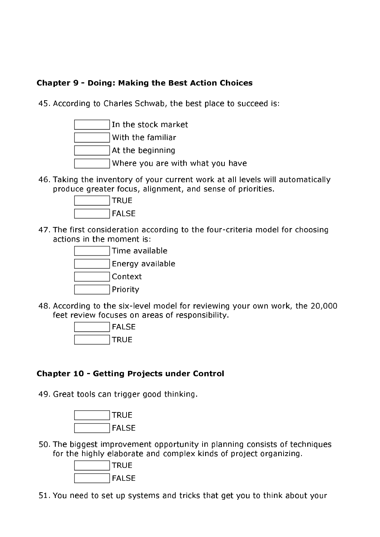#### **Chapter 9 - Doing: Making the Best Action Choices**

45. According to Charles Schwab, the best place to succeed is:



46. Taking the inventory of your current work at all levels will automatically produce greater focus, alignment, and sense of priorities.



47. The first consideration according to the four-criteria model for choosing actions in the moment is:

| Time available   |
|------------------|
| Energy available |
| Context          |
| Priority         |

48. According to the six-level model for reviewing your own work, the 20,000 feet review focuses on areas of responsibility.



#### **Chapter 10 - Getting Projects under Control**

49. Great tools can trigger good thinking.



50. The biggest improvement opportunity in planning consists of techniques for the highly elaborate and complex kinds of project organizing.



51. You need to set up systems and tricks that get you to think about your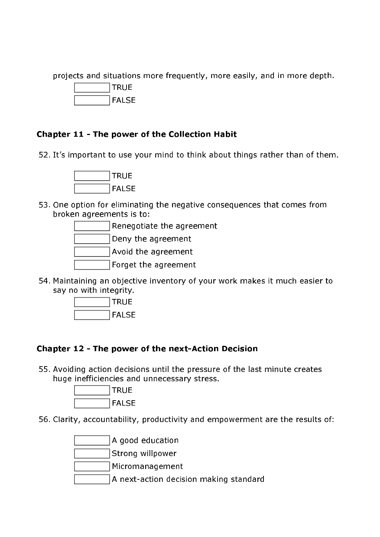projects and situations more frequently, more easily, and in more depth.



#### Chapter 11 - The power of the Collection Habit

52. It's important to use your mind to think about things rather than of them.



53. One option for eliminating the negative consequences that comes from broken agreements is to:



54. Maintaining an objective inventory of your work makes it much easier to say no with integrity.



#### Chapter 12 - The power of the next-Action Decision

55. Avoiding action decisions until the pressure of the last minute creates huge inefficiencies and unnecessary stress.



56. Clarity, accountability, productivity and empowerment are the results of:

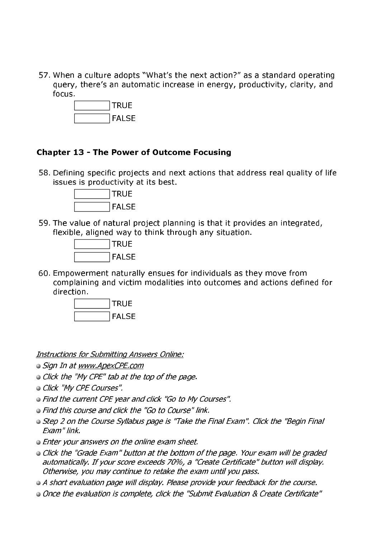57. When a culture adopts "What's the next action?" as a standard operating query, there's an automatic increase in energy, productivity, clarity, and focus.



#### **Chapter 13 - The Power of Outcome Focusing**

58. Defining specific projects and next actions that address real quality of life issues is productivity at its best.



59. The value of natural project planning is that it provides an integrated, flexible, aligned way to think through any situation.



60. Empowerment naturally ensues for individuals as they move from complaining and victim modalities into outcomes and actions defined for direction.



**Instructions for Submitting Answers Online:** 

- Sign In at www.ApexCPE.com
- Click the "My CPE" tab at the top of the page.
- · Click "My CPE Courses".
- Find the current CPE year and click "Go to My Courses".
- Find this course and click the "Go to Course" link.
- Step 2 on the Course Syllabus page is "Take the Final Exam". Click the "Begin Final Exam" link.
- Enter your answers on the online exam sheet.
- Click the "Grade Exam" button at the bottom of the page. Your exam will be graded automatically. If your score exceeds 70%, a "Create Certificate" button will display. Otherwise, you may continue to retake the exam until you pass.
- A short evaluation page will display. Please provide your feedback for the course.
- Once the evaluation is complete, click the "Submit Evaluation & Create Certificate"